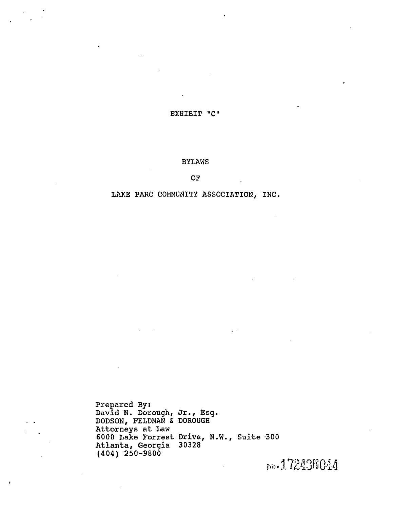EXBIBIT "C"

#### BYLAWS

**OF** 

#### LAKE PARC COMMUNITY ASSOCIATION, INC.

Prepared By:<br>David N. Dorough, Jr., Esq. DODSON, FELDMAN & DOROUGH Attorneys at Law 6000 Lake Forrest Drive, N.W., Suite ·300 Atlanta, Georgia 30328 (404) 250-9800

sate 172436044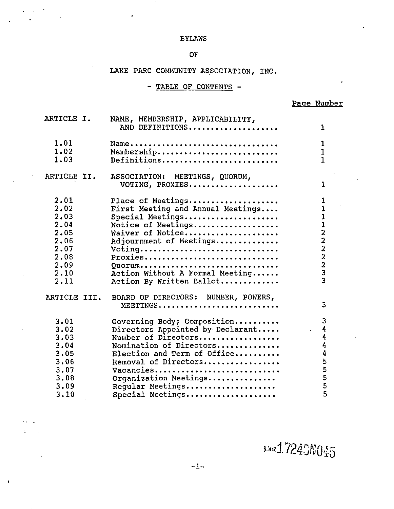#### BYLAWS

 $\pmb{\cdot}$ 

#### OF

# IAKE PARC COMMUNITY ASSOCIATION, INC.

- TABLE OF CONTENTS -

### Page Number

| ARTICLE I.                                                                           | NAME, MEMBERSHIP, APPLICABILITY,<br>AND DEFINITIONS                                                                                                                                                                                                    | 1                                   |
|--------------------------------------------------------------------------------------|--------------------------------------------------------------------------------------------------------------------------------------------------------------------------------------------------------------------------------------------------------|-------------------------------------|
| 1.01<br>1.02<br>1.03                                                                 | Name<br>Membership<br>Definitions                                                                                                                                                                                                                      | 1<br>$\overline{1}$<br>$\mathbf{1}$ |
| ARTICLE II.                                                                          | ASSOCIATION: MEETINGS, QUORUM,<br>VOTING, PROXIES                                                                                                                                                                                                      | 1                                   |
| 2.01<br>2.02<br>2.03<br>2.04<br>2.05<br>2.06<br>2.07<br>2.08<br>2.09<br>2.10<br>2.11 | Place of Meetings<br>First Meeting and Annual Meetings<br>Special Meetings<br>Notice of Meetings<br>Waiver of Notice<br>Adjournment of Meetings<br>Voting<br>Proxies<br>Quorum<br>Action Without A Formal Meeting<br>Action By Written Ballot          | 1<br>$\mathbf{1}$<br>112222233      |
| ARTICLE III.                                                                         | BOARD OF DIRECTORS: NUMBER, POWERS,<br>MEETINGS                                                                                                                                                                                                        | 3                                   |
| 3.01<br>3.02<br>3.03<br>3.04<br>3.05<br>3.06<br>3.07<br>3.08<br>3,09<br>3.10         | Governing Body; Composition<br>Directors Appointed by Declarant<br>Number of Directors<br>Nomination of Directors<br>Election and Term of Office<br>Removal of Directors<br>Vacancies<br>Organization Meetings<br>Reqular Meetings<br>Special Meetings | 3<br>4<br>4<br>4<br>4<br>5555<br>5  |

saad72406045

 $\pmb{\mathsf{1}}$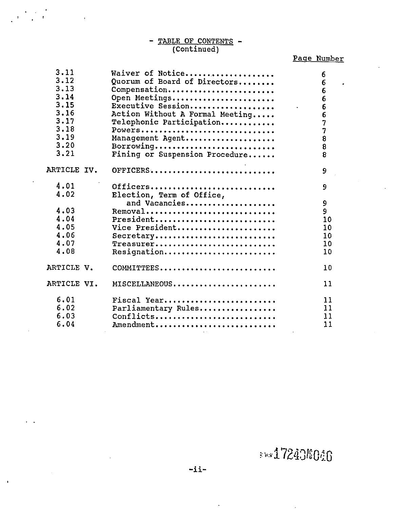# - TABLE OF CONTENTS -(Continued)

# Page Number

 $\sim$ 

 $\ddot{\phantom{0}}$ 

| 3.11<br>3.12<br>3.13<br>3.14<br>3.15<br>3.16<br>3.17<br>3.18<br>3.19<br>3.20 | Waiver of Notice<br>Quorum of Board of Directors<br>Compensation<br>Open Meetings<br>Executive Session<br>Action Without A Formal Meeting<br>Telephonic Participation<br>Powers<br>Management Agent<br>Borrowing | 6<br>6<br>6<br>$6\phantom{1}$<br>$\overline{6}$<br>$\overline{6}$<br>$\overline{7}$<br>$\overline{7}$<br>$\overline{8}$<br>$\overline{8}$ |    |
|------------------------------------------------------------------------------|------------------------------------------------------------------------------------------------------------------------------------------------------------------------------------------------------------------|-------------------------------------------------------------------------------------------------------------------------------------------|----|
| 3.21                                                                         | Fining or Suspension Procedure                                                                                                                                                                                   | 8                                                                                                                                         |    |
| ARTICLE IV.                                                                  | OFFICERS                                                                                                                                                                                                         | 9                                                                                                                                         |    |
| 4.01<br>4.02                                                                 | Officers<br>Election, Term of Office,                                                                                                                                                                            | 9                                                                                                                                         |    |
|                                                                              | and Vacancies                                                                                                                                                                                                    | 9                                                                                                                                         |    |
| 4.03                                                                         | Removal                                                                                                                                                                                                          | $\overline{9}$                                                                                                                            |    |
| 4.04                                                                         | President                                                                                                                                                                                                        |                                                                                                                                           | 10 |
| 4.05                                                                         | Vice President                                                                                                                                                                                                   |                                                                                                                                           | 10 |
| 4.06                                                                         | Secretary                                                                                                                                                                                                        |                                                                                                                                           | 10 |
| 4.07                                                                         | Treasurer                                                                                                                                                                                                        |                                                                                                                                           | 10 |
| 4.08                                                                         | Resignation                                                                                                                                                                                                      |                                                                                                                                           | 10 |
| ARTICLE V.                                                                   | COMMITTEES                                                                                                                                                                                                       |                                                                                                                                           | 10 |
| ARTICLE VI.                                                                  | MISCELLANEOUS                                                                                                                                                                                                    |                                                                                                                                           | 11 |
| 6.01                                                                         | Fiscal Year                                                                                                                                                                                                      |                                                                                                                                           | 11 |
| 6.02                                                                         | Parliamentary Rules                                                                                                                                                                                              |                                                                                                                                           | 11 |
| 6.03                                                                         | $Conflicts \ldots \ldots \ldots \ldots \ldots \ldots$                                                                                                                                                            |                                                                                                                                           | 11 |
| 6.04                                                                         | Amendment                                                                                                                                                                                                        |                                                                                                                                           | 11 |

ada ada 3 May 2008 - ii-

 $\ddot{\phantom{a}}$ 

t

 $\bar{z}$ 

 $\begin{pmatrix} 1 & 0 & 0 \\ 0 & 0 & 0 \\ 0 & 0 & 0 \end{pmatrix} = \begin{pmatrix} 1 & 0 & 0 \\ 0 & 1 & 0 \\ 0 & 0 & 0 \end{pmatrix}$ 

 $\bar{z}$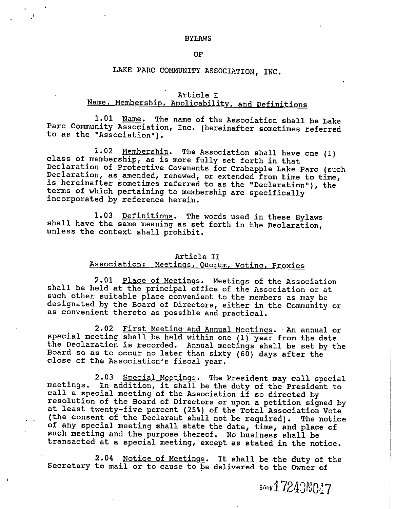#### BYIAWS

#### OF

# LAKE PARC COMMUNITY ASSOCIATION, INC.

#### Article I

# Name, Membership, Applicability, and Definitions

1.01 Name. The name of the Association shall be Lake Parc Community Association, Inc. (hereinafter sometimes referred to as the "Association").

1.02 Membership. The Association shall have one (1)<br>class of membership, as is more fully set forth in that<br>Declaration of Protective Covenants for Crabapple Lake Parc (such<br>Declaration, as amended, renewed, or extended fr

1.03 <u>Definitions</u>. The words used in these Bylaws shall have the same meaning as set forth in the Declaration, unless the context shall prohibit.

# Article II<br>Association: Meetings, Quorum, Voting, Proxies

2.01 <u>Place of Meetings</u>. Meetings of the Association shall be held at the principal office of the Association or at such other suitable place convenient to the members as may be designated by the Board of Directors, either in the Community or as convenient thereto as possible and practical.

2.02 First Meeting and Annual Meetings. An annual or special meeting shall be held within one (1) year from the date the Declaration is recorded. Annual meetings shall be set by the Board so as to occur no later than sixty

2.03 Special Meetings. The President may call special<br>meetings. In addition, it shall be the duty of the President to<br>call a special meeting of the Association if so directed by<br>resolution of the Board of Directors or upon

2.04 Notice of Meetings. It shall be the duty of the Secretary to mail or to cause to be delivered to the Owner of

som 17243f6047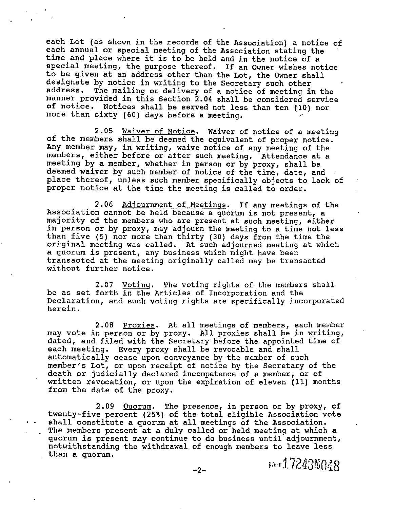each Lot (as shown in the records of the Association) <sup>a</sup> notice of each annual or special meeting of the Association stating the time and place where it is to be held and in the notice of a<br>special meeting, the purpose thereof. If an Owner wishes notice to be given at an address other than the Lot, the Owner shall designate by notice in writing to the Secretary such other address. The mailing or delivery of a notice of meeting in the manner provided in this Section 2.04 shall be considered service of notice. Notices shall be served not less than ten (10) nor more than sixty (60) days before <sup>a</sup> meeting.

2.05 Waiver of Notice. Waiver of notice of a meeting of the members shall be deemed the equivalent of proper notice. Any member may, in writing, waive notice of any meeting of the members, either before or after such meeting. Attendance at <sup>a</sup> meeting by <sup>a</sup> member, whether in person or by proxy, shall be deemed waiver by such member of notice of the time, date, and place thereof, unless such member specifically objects to lack of proper notice at the time the meeting is called to order.

2.06 Adjournment of Meetings. If any meetings of the Association cannot be held because a quorum is not present, a majority of the members who are present at such meeting, either in person or by proxy, may adjourn the meeting to <sup>a</sup> time not less than five (5) nor more than thirty (30) days from the time the original meeting was called. At such adjourned meeting at which <sup>a</sup> quorum is present, any business which might have been transacted at the meeting originally called may be transacted without further notice.

2.07 Voting. The voting rights of the members shall be as set forth in the Articles of Incorporation and the Declaration, and such voting rights are specifically incorporated herein.

2.08 Proxies. At all meetings of members, each member may vote in person or by proxy. all proxies shall be in writing, dated, and filed with the Secretary before the appointed time of each meeting. Every proxy shall be revocable and shall automatically cease upon conveyance by the member of such member's Lot, or upon receipt of notice by the Secretary of the death or judicially declared incompetence of a member, or of written revocation, or upon the expiration of eleven (11) months from the date of the proxy.

2.09 Ouorum. The presence, in person or by proxy, of twenty-five percent (25%) of the total eligible Association vote shall constitute a quorum at all meetings of the Association. The members present at <sup>a</sup> duly called or held meeting at which <sup>a</sup> quorum is present may continue to do business until adjournment, notwithstanding the withdrawal of enough members to leave less than a quorum.  $-2$ - additional  $30\frac{172438048}{ }$ 

I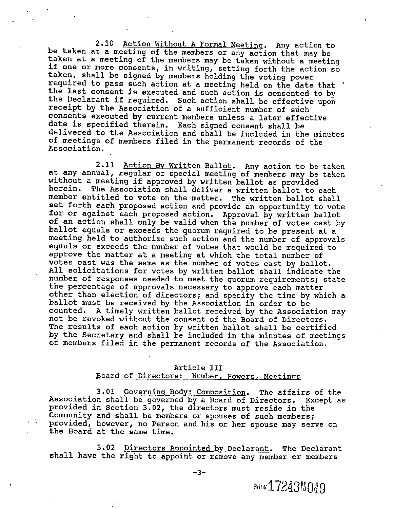2.10 Action Without A Formal Meeting. Any action to<br>be taken at a meeting of the members or any action that may be<br>taken at a meeting of the members may be taken without a meeting<br>if one or more consents, in writing, setti the Declarant if required. Such action shall be effective upon<br>receipt by the Association of a sufficient number of such<br>consents executed by current members unless a later effective<br>date is specified therein. Each signed

2.11 Action By Written Ballot. Any action to be taken<br>at any annual, regular or special meeting of members may be taken<br>without a meeting if approved by written ballot as provided<br>herein. The Association shall deliver a wr set forth each proposed action and provide an opportunity to vote<br>for or against each proposed action. Approval by written ballot<br>of an action shall only be valid when the number of votes cast by<br>ballot equals or exceeds t meeting held to authorize such action and the number of approvals equals or exceeds the number of votes that would be required to votes cast was the same as the number of votes cast by ballot.<br>All solicitations for votes by written ballot shall indicate the number of responses needed to meet the quorum requirements; state the percentage of approvals necessary to approve each matter<br>other than election of directors; and specify the time by which a<br>ballot must be received by the Association in order to be counted. A timely written ballot received by the Association may not be revoked without the consent of the Board of Directors. The results of each action by written ballot shall be certified<br>by the Secretary and shall be included in the minutes of meetings of members filed in the permanent records of the Association.

#### Article III

#### Board of Directors: Number, Powers, Meetings

3.01 Governing Body; composition. The affairs of the Association shall be governed by <sup>a</sup> Board of Directors. Except as provided in Section 3.02, the directors must reside in the Community and shall be members or spouses of such members; provided, however, no Person and his or her spouse may serve on the Board at the same time.

3.02 Directors Appointed by Declarant. The Declarant shall have the right to appoint or remove any member or members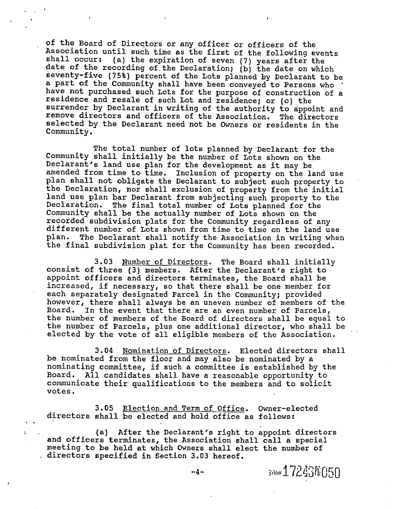of the Board of Directors or any officer or officers of the<br>Association until such time as the first of the following events<br>shall occur: (a) the expiration of seven (7) years after the<br>date of the recording of the Declara a part of the Community shall have been conveyed to Persons who have not purchased such Lots for the purpose of construction of a residence and resale of such Lot and residence; or (c) the surrender by Declarant in writing of the authority to appoint and remove directors and officers of the Association. The directors selected by the Declarant need not be owners or residents in the Community.

The total number of lots planned by Declarant for the Community shall initially be the number of Lots shown on the Declarant's land use plan for the development as it may be amended from time to time. Inclusion of property on the land use<br>plan shall not obligate the Declarant to subject such property to the Declaration, nor shall exclusion of property from the initial<br>land use plan bar Declarant from subjecting such property to the<br>Declaration. The final total number of Lots planned for the Community shall be the actually number of Lots shown on the recorded subdivision plats for the Community regardless of any different number of Lots shown from time to time on the land use plan. The Declarant shall notify the Association in writing when the final subdivision plat for the Community has been recorded.

3.03 Number of Directors. The Board shall initially consist of three (3) members. After the Declarant's right to appoint officers and directors terminates, the Board shall be increased, if necessary, so that there shall be one member for each separately designated Parcel in the Community; provided however, there shall always be an uneven number of members of the Board. In the event that there are an even number of Parcels, the number of members of the Board of directors shall be equal to the number of Parcels, plus one additional director, who shall be elected by the vote of all eligible members of the Association.

3.04 Nomination of Directors. Elected directors shall be nominated from the floor and may also be nominated by <sup>a</sup> nominating committee, if such <sup>a</sup> committee is established by the Board. All candidates shall have <sup>a</sup> reasonable opportunity to communicate their qualifications to the members and to solicit votes.

3.05 Election and Term of Office. Owner-elected directors shall be elected and hold office as follows:

 $\mathbf{I}$ 

. (a) After the Declarant's right to appoint directors and officers terminates, the Association shall call <sup>a</sup> special meeting to be held at which owners shall elect the number of . directors specified in Section 3.03 hereof.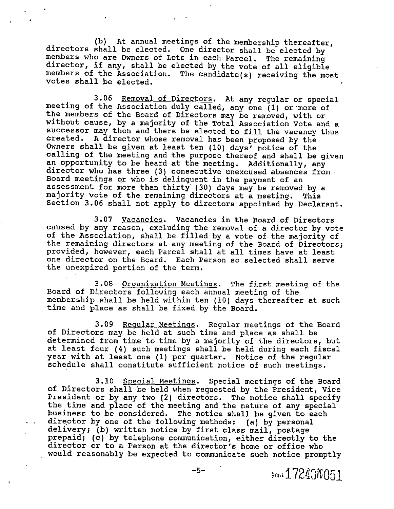(b) At annual meetings of the membership thereafter,<br>directors shall be elected. One director shall be elected by<br>members who are Owners of Lots in each Parcel. The remaining<br>director, if any, shall be elected by the vote

3.06 Removal of Directors. At any regular or special<br>meeting of the Association duly called, any one (1) or more of<br>the members of the Board of Directors may be removed, with or<br>without cause, by a majority of the Total As successor may then and there be elected to fill the vacancy thus created. A director whose removal has been proposed by the Owners shall be given at least ten (10) days' notice of the calling of the meeting and the purpose thereof and shall be given<br>an opportunity to be heard at the meeting. Additionally, any<br>director who has three (3) consecutive unexcused absences from<br>Board meetings or who is delinqu assessment for more than thirty (30) days may be removed by a majority vote of the remaining directors at a meeting. This Section 3.06 shall not apply to directors appointed by Declarant.

3.07 <u>Vacancies</u>. Vacancies in the Board of Directors<br>caused by any reason, excluding the removal of a director by vote of the Association, shall be filled by a vote of the majority of<br>the remaining directors at any meeting of the Board of Directors;<br>provided, however, each Parcel shall at all times have at least one director on the Board. Each Person so selected shall serve the unexpired portion of the term.

3.08 Organization Meetings. The first meeting of the Board of Directors following each annual meeting of the membership shall be held within ten (10) days thereafter at such time and place as shall be fixed by the Board.

3.09 <u>Regular Meetings</u>. Regular meetings of the Board of Directors may be held at such time and place as shall be determined from time to time by a majority of the directors, but at least four (4) such meetings shall be held during each fiscal year with at least one (1) per quarter. Notice of the regular schedule shall constitute sufficient notice of such meetings.

3.10 Special Meetings. Special meetings of the Board<br>of Directors shall be held when requested by the President, Vice<br>President or by any two (2) directors. The notice shall specify the time and place of the meeting and the nature of any special<br>business to be considered. The notice shall be given to each<br>director by one of the following methods: (a) by personal delivery; (b) written notice by first class mail, postage<br>prepaid; (c) by telephone communication, either directly to the<br>director or to a Person at the director's home or office who would reasonably be expected to communicate such notice promptly

-5- ::  $\frac{172438051}{151}$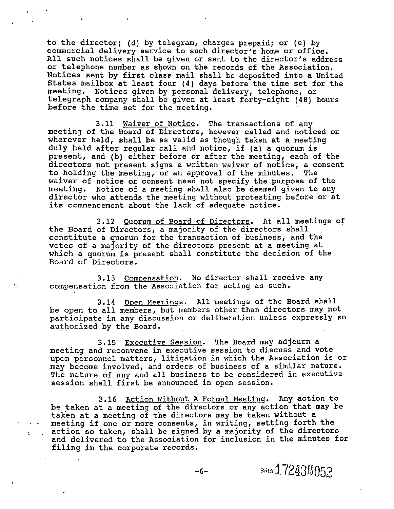to the director; (d) by telegram, charges prepaid; or (e) by commercial delivery service to such director's home or office. All such notices shall be given or sent to the director's address or telephone number as shown on the records of the Association.<br>Notices sent by first class mail shall be deposited into a United States mailbox at least four (4) days before the time set for the meeting. Notices given by personal delivery, telephone, or telegraph company shall be given at least forty-eight (48) hours before the time set for the meeting.

3.11 Waiver of Notice. The transactions of any meeting of the Board of Directors, however called and noticed or wherever held, shall be as valid as though taken at <sup>a</sup> meeting duly held after regular call and notice, if (a) a quorum is<br>present, and (b) either before or after the meeting, each of the directors not present signs a written waiver of notice, a consent to holding the meeting, or an approval of the minutes. The waiver of notice or consent need not specify the purpose of the meeting. Notice of a meeting shall also be deemed given to any director who attends the meeting without protesting before or at<br>its commencement about the lack of adequate notice.

3.12 Ouorum of Board of Directors. At all meetings of the Board of Directors, <sup>a</sup> majority of the directors shall constitute <sup>a</sup> quorum for the transaction of business, and the votes of <sup>a</sup> majority of the directors present at <sup>a</sup> meeting at which <sup>a</sup> quorum is present shall constitute the decision of the Board of Directors.

3.13 Compensation. No director shall receive any compensation from the Association for acting as such.

3.14 Open Meetings. All meetings of the Board shall be open to all members, but members other than directors may not participate in any discussion or deliberation unless expressly so authorized by the Board.

3.15 Executive Session. The Board may adjourn a meeting and reconvene in executive session to discuss and vote upon personnel matters, litigation in which the Association is or may become involved, and orders of business of <sup>a</sup> similar nature. The nature of any and all business to be considered in executive session shall first be announced in open session.

3.16 Action Without <sup>A</sup> Formal Meeting. Any action to be taken at <sup>a</sup> meeting of the directors or any action that may be taken at <sup>a</sup> meeting of the directors may be taken without <sup>a</sup> meeting if one or more consents, in writing, setting forth the action so taken, shall be signed by <sup>a</sup> majority of the directors and delivered to the Association for inclusion in the minutes for filing in the corporate records.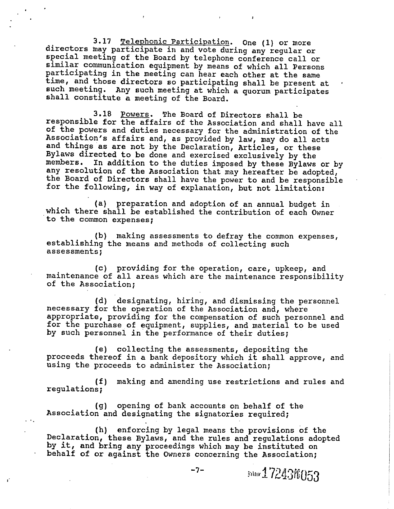3.17 Telephonic Participation. One (1) or more<br>directors may participate in and vote during any regular or<br>special meeting of the Board by telephone conference call or<br>similar communication equipment by means of which all such meeting. Any such meeting at which <sup>a</sup> quorum participates shall constitute <sup>a</sup> meeting of the Board.

3.18 <u>Powers</u>. The Board of Directors shall be<br>responsible for the affairs of the Association and shall have all<br>of the powers and duties necessary for the administration of the<br>Association's affairs and, as provided by la Bylaws directed to be done and exercised exclusively by the members. In addition to the duties imposed by these Bylaws or by any resolution of the Association that may hereafter be adopted, the Board of Directors shall have the power to and be responsible for the following, in way of explanation, but not limitation:

(a) preparation and adoption of an annual budget in which there shall be established the contribution of each owner to the common expenses;

(b) making assessments to defray the common expenses, establishing the means and methods of collecting such assessments;

(c) providing for the operation, care, upkeep, and maintenance of all areas which are the maintenance responsibility of the Association;

(d) designating, hiring, and dismissing the personnel necessary for the operation of the Association and, where appropriate, providing for the compensation of such personnel and<br>for the purchase of equipment, supplies, and material to be used by such personnel in the performance of their duties;

(e) collecting the assessments, depositing the proceeds thereof in <sup>a</sup> bank depository which it shall approve, and using the proceeds to administer the Association;

(f) making and amending use restrictions and rules and regulations;

(g) opening of bank accounts on behalf of the Association and designating the signatories required;

t,

(h) enforcing by legal means the provisions of the Declaration, these Bylaws, and the rules and regulations adopted by it, and bring any proceedings which may be instituted on behalf of or against the owners concerning the Association;

$$
-7-
$$

some 17243f6053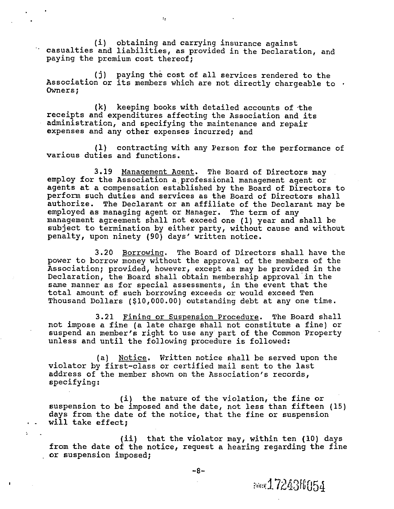(i) obtaining and carrying insurance against casualties and liabilities, as provided in the Declaration, and paying the premium cost thereof;

 $\mathcal{I}_2$ 

(j) paying the cost of all services rendered to the Association or its members which are not directly chargeable to  $\cdot$ Owners;

(k) keeping books with detailed accounts of ·the receipts and expenditures affecting the Association and its administration, and specifying the maintenance and repair expenses and any other expenses incurred; and

(1) contracting with any Person for the performance of various duties and functions.

3.19 Management Aaent. The Board of Directors may employ for the Association <sup>a</sup> professional management agent or agents at a compensation established by the Board of Directors to<br>perform such duties and services as the Board of Directors shall authorize. The Declarant or an affiliate of the Declarant may be employed as managing agent or Manager. The term of any management agreement shall not exceed one (1) year and shall be subject to termination by either party, without cause and without penalty, upon ninety (90) days' written notice.

3.20 Borrowing. The Board of Directors shall have the power to borrow money without the approval of the members of the Association; provided, however, except as may be provided in the Declaration, the Board shall obtain membership approval in the same manner as for special assessments, in the event that the total amount of such borrowing exceeds or would exceed Ten Thousand Dollars (\$10,000.00) outstanding debt at any one time.

3.21 Fining or Suspension Procedure. The Board shall not impose <sup>a</sup> fine (a late charge shall not constitute <sup>a</sup> fine) or suspend an member's right to use any part of the common Property unless and until the following procedure is followed:

(a) Notice. Written notice shall be served upon the violator by first-class or certified mail sent to the last address of the member shown on the Association's records, specifying:

(i) the nature of the violation, the fine or suspension to be imposed and the date, not less than fifteen (15) days from the date of the notice, that the fine or suspension will take effect;

(ii) that the violator may, within ten (10) days<br>from the date of the notice, request a hearing regarding the fine or suspension imposed;

 $\ddot{\phantom{a}}$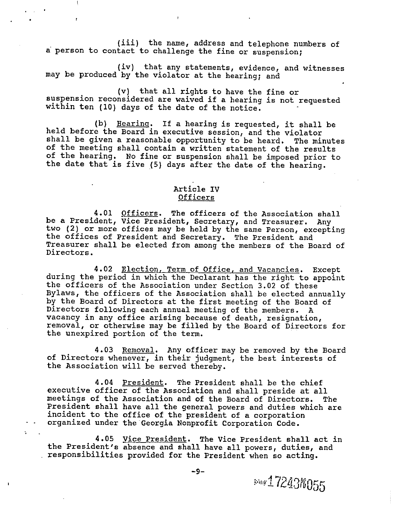(iii) the name, address and telephone numbers of <sup>a</sup> person to contact to challenge the fine or suspension;

(iv) that any statements, evidence, and witnesses may be produced by the violator at the hearing; and

(v) that all rights to have the fine or suspension reconsidered are waived if <sup>a</sup> hearing is not requested within ten (10) days of the date of the notice.

(b) <u>Bearing</u>. If a hearing is requested, it shall be<br>held before the Board in executive session, and the violator<br>shall be given a reasonable opportunity to be heard. The minutes<br>of the meeting shall contain a written sta

# Article IV Officers

4.01 Officers. The officers of the Association shall<br>be a President, Vice President, Secretary, and Treasurer. Any<br>two (2) or more offices may be held by the same Person, excepting<br>the offices of President and Secretary. T

4.02 <u>Election, Term of Office, and Vacancies</u>. Except during the period in which the Declarant has the right to appoint the officers of the Association under Section 3.02 of these Bylaws, the officers of the Association shall be elected annually by the Board of Directors at the first meeting of the Board of Directors following each annual meeting of the members. <sup>A</sup> vacancy in any office arising because of death, resignation, removal, or otherwise may be filled by the Board of Directors for the unexpired portion of the term.

4.03 <u>Removal</u>. Any officer may be removed by the Board of Directors whenever, in their judgment, the best interests of the Association will be served thereby.

4.04 <u>President</u>. The President shall be the chief<br>executive officer of the Association and shall preside at all<br>meetings of the Association and of the Board of Directors. The President shall have all the general powers and duties which are<br>incident to the office of the president of a corporation<br>organized under the Georgia Nonprofit Corporation Code.

4.05 <u>Vice President</u>. The Vice President shall act in the President's absence and shall have all powers, duties, and . responsibilities provided for the President when so acting.

 $\mathbf{L}$ 

 $\pmb{\cdot}$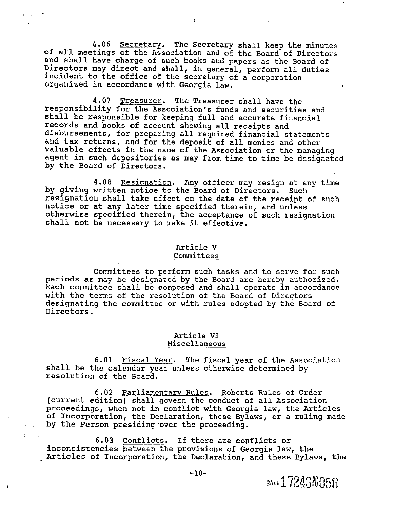4.06 Secretary. The Secretary shall keep the minutes<br>of all meetings of the Association and of the Board of Directors<br>and shall have charge of such books and papers as the Board of<br>Directors may direct and shall, in genera

4.07 <u>Treasurer</u>. The Treasurer shall have the<br>responsibility for the Association's funds and securities and shall be responsible for keeping full and accurate financial records and books of account showing all receipts and disbursements, for preparing all required financial statements<br>and tax returns, and for the deposit of all monies and other valuable effects in the name of the Association or the managing<br>agent in such depositories as may from time to time be designated by the Board of Directors.

4.08 Resignation. Any officer may resign at any time by giving written notice to the Board of Directors. Such<br>resignation shall take effect on the date of the receipt of such notice or at any later time specified therein, and unless<br>otherwise specified therein, the acceptance of such resignation<br>shall not be necessary to make it effective.

#### Article <sup>V</sup>

#### **Committees**

Committees to perform such tasks and to serve for such periods as may be designated by the Board are hereby authorized. with the terms of the resolution of the Board of Directors designating the committee or with rules adopted by the Board of Directors.

#### Article VI Miscellaneous

6.01 Fiscal Year. The fiscal year of the Association shall be the calendar year unless otherwise determined by resolution of the Board.

6.02 Parliamentary Rules. Roberts Rules of Order (current edition) shall govern the conduct of all Association proceedings, when not in conflict with Georgia law, the Articles of Incorporation, the Declaration, these Bylaws, or <sup>a</sup> ruling made by the Person presiding over the proceeding.

6.03 Conflicts. If there are conflicts or<br>inconsistencies between the provisions of Georgia law, the inconsistencies of Incorporation, the Declaration, and these Bylaws, the